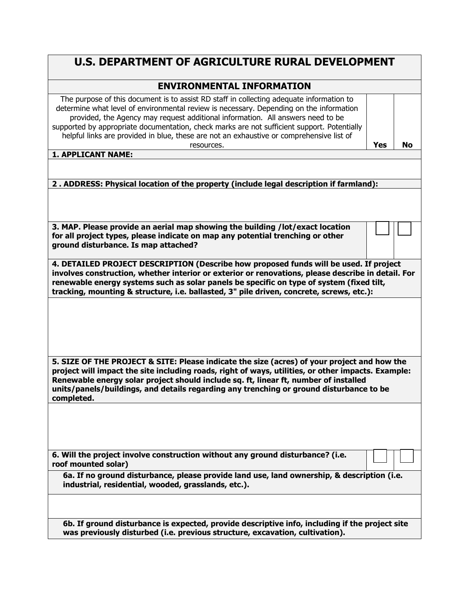## **U.S. DEPARTMENT OF AGRICULTURE RURAL DEVELOPMENT**

## **ENVIRONMENTAL INFORMATION**

| determine what level of environmental review is necessary. Depending on the information<br>provided, the Agency may request additional information. All answers need to be<br>supported by appropriate documentation, check marks are not sufficient support. Potentially<br>helpful links are provided in blue, these are not an exhaustive or comprehensive list of<br>Yes<br>resources. |    |
|--------------------------------------------------------------------------------------------------------------------------------------------------------------------------------------------------------------------------------------------------------------------------------------------------------------------------------------------------------------------------------------------|----|
|                                                                                                                                                                                                                                                                                                                                                                                            | No |
|                                                                                                                                                                                                                                                                                                                                                                                            |    |
|                                                                                                                                                                                                                                                                                                                                                                                            |    |
|                                                                                                                                                                                                                                                                                                                                                                                            |    |
|                                                                                                                                                                                                                                                                                                                                                                                            |    |
| The purpose of this document is to assist RD staff in collecting adequate information to                                                                                                                                                                                                                                                                                                   |    |

## **2 . ADDRESS: Physical location of the property (include legal description if farmland):**

| 3. MAP. Please provide an aerial map showing the building /lot/exact location  |
|--------------------------------------------------------------------------------|
| for all project types, please indicate on map any potential trenching or other |
| ground disturbance. Is map attached?                                           |

**4. DETAILED PROJECT DESCRIPTION (Describe how proposed funds will be used. If project involves construction, whether interior or exterior or renovations, please describe in detail. For renewable energy systems such as solar panels be specific on type of system (fixed tilt, tracking, mounting & structure, i.e. ballasted, 3" pile driven, concrete, screws, etc.):**

☐ ☐

☐ ☐

**5. SIZE OF THE PROJECT & SITE: Please indicate the size (acres) of your project and how the project will impact the site including roads, right of ways, utilities, or other impacts. Example: Renewable energy solar project should include sq. ft, linear ft, number of installed units/panels/buildings, and details regarding any trenching or ground disturbance to be completed.** 

**6. Will the project involve construction without any ground disturbance? (i.e. roof mounted solar)**

**6a. If no ground disturbance, please provide land use, land ownership, & description (i.e. industrial, residential, wooded, grasslands, etc.).** 

**6b. If ground disturbance is expected, provide descriptive info, including if the project site was previously disturbed (i.e. previous structure, excavation, cultivation).**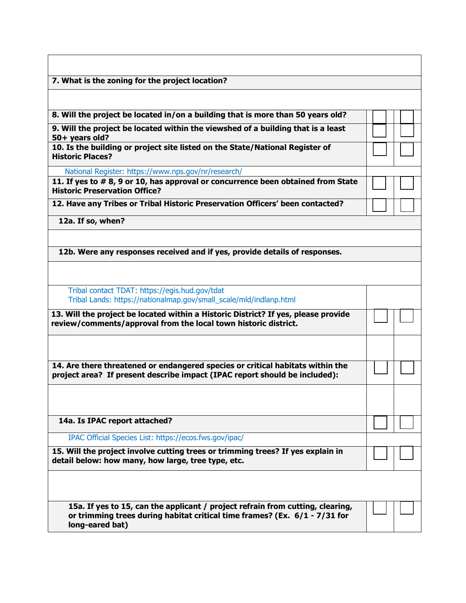| 7. What is the zoning for the project location?                                                                                                                                 |  |  |
|---------------------------------------------------------------------------------------------------------------------------------------------------------------------------------|--|--|
|                                                                                                                                                                                 |  |  |
| 8. Will the project be located in/on a building that is more than 50 years old?                                                                                                 |  |  |
| 9. Will the project be located within the viewshed of a building that is a least                                                                                                |  |  |
| 50+ years old?                                                                                                                                                                  |  |  |
| 10. Is the building or project site listed on the State/National Register of<br><b>Historic Places?</b>                                                                         |  |  |
| National Register: https://www.nps.gov/nr/research/                                                                                                                             |  |  |
| 11. If yes to #8, 9 or 10, has approval or concurrence been obtained from State<br><b>Historic Preservation Office?</b>                                                         |  |  |
| 12. Have any Tribes or Tribal Historic Preservation Officers' been contacted?                                                                                                   |  |  |
| 12a. If so, when?                                                                                                                                                               |  |  |
|                                                                                                                                                                                 |  |  |
| 12b. Were any responses received and if yes, provide details of responses.                                                                                                      |  |  |
|                                                                                                                                                                                 |  |  |
| Tribal contact TDAT: https://egis.hud.gov/tdat                                                                                                                                  |  |  |
| Tribal Lands: https://nationalmap.gov/small_scale/mld/indlanp.html                                                                                                              |  |  |
| 13. Will the project be located within a Historic District? If yes, please provide<br>review/comments/approval from the local town historic district.                           |  |  |
|                                                                                                                                                                                 |  |  |
| 14. Are there threatened or endangered species or critical habitats within the<br>project area? If present describe impact (IPAC report should be included):                    |  |  |
|                                                                                                                                                                                 |  |  |
| 14a. Is IPAC report attached?                                                                                                                                                   |  |  |
| IPAC Official Species List: https://ecos.fws.gov/ipac/                                                                                                                          |  |  |
|                                                                                                                                                                                 |  |  |
| 15. Will the project involve cutting trees or trimming trees? If yes explain in<br>detail below: how many, how large, tree type, etc.                                           |  |  |
|                                                                                                                                                                                 |  |  |
| 15a. If yes to 15, can the applicant / project refrain from cutting, clearing,<br>or trimming trees during habitat critical time frames? (Ex. 6/1 - 7/31 for<br>long-eared bat) |  |  |
|                                                                                                                                                                                 |  |  |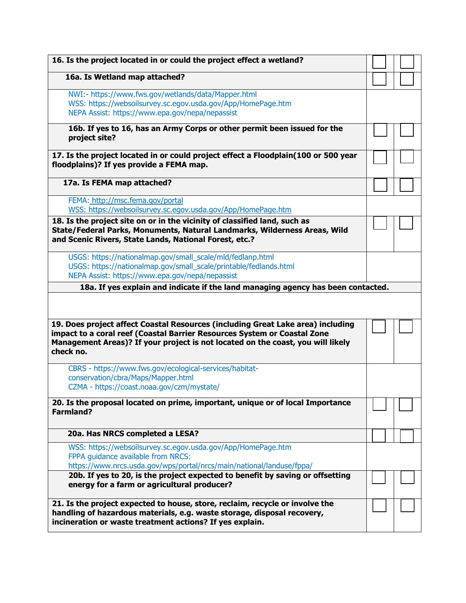| 16. Is the project located in or could the project effect a wetland?                                                                                                                                                |  |
|---------------------------------------------------------------------------------------------------------------------------------------------------------------------------------------------------------------------|--|
| 16a. Is Wetland map attached?                                                                                                                                                                                       |  |
| NWI:- https://www.fws.gov/wetlands/data/Mapper.html                                                                                                                                                                 |  |
| WSS: https://websoilsurvey.sc.egov.usda.gov/App/HomePage.htm                                                                                                                                                        |  |
| NEPA Assist: https://www.epa.gov/nepa/nepassist                                                                                                                                                                     |  |
| 16b. If yes to 16, has an Army Corps or other permit been issued for the<br>project site?                                                                                                                           |  |
| 17. Is the project located in or could project effect a Floodplain(100 or 500 year<br>floodplains)? If yes provide a FEMA map.                                                                                      |  |
| 17a. Is FEMA map attached?                                                                                                                                                                                          |  |
| FEMA: http://msc.fema.gov/portal<br>WSS: https://websoilsurvey.sc.egov.usda.gov/App/HomePage.htm                                                                                                                    |  |
| 18. Is the project site on or in the vicinity of classified land, such as<br>State/Federal Parks, Monuments, Natural Landmarks, Wilderness Areas, Wild<br>and Scenic Rivers, State Lands, National Forest, etc.?    |  |
| USGS: https://nationalmap.gov/small_scale/mld/fedlanp.html                                                                                                                                                          |  |
| USGS: https://nationalmap.gov/small_scale/printable/fedlands.html                                                                                                                                                   |  |
| NEPA Assist: https://www.epa.gov/nepa/nepassist<br>18a. If yes explain and indicate if the land managing agency has been contacted.                                                                                 |  |
| 19. Does project affect Coastal Resources (including Great Lake area) including                                                                                                                                     |  |
| impact to a coral reef (Coastal Barrier Resources System or Coastal Zone<br>Management Areas)? If your project is not located on the coast, you will likely<br>check no.                                            |  |
| CBRS - https://www.fws.gov/ecological-services/habitat-<br>conservation/cbra/Maps/Mapper.html<br>CZMA - https://coast.noaa.gov/czm/mystate/                                                                         |  |
| 20. Is the proposal located on prime, important, unique or of local Importance<br><b>Farmland?</b>                                                                                                                  |  |
| 20a. Has NRCS completed a LESA?                                                                                                                                                                                     |  |
| WSS: https://websoilsurvey.sc.egov.usda.gov/App/HomePage.htm<br>FPPA guidance available from NRCS:<br>https://www.nrcs.usda.gov/wps/portal/nrcs/main/national/landuse/fppa/                                         |  |
| 20b. If yes to 20, is the project expected to benefit by saving or offsetting<br>energy for a farm or agricultural producer?                                                                                        |  |
| 21. Is the project expected to house, store, reclaim, recycle or involve the<br>handling of hazardous materials, e.g. waste storage, disposal recovery,<br>incineration or waste treatment actions? If yes explain. |  |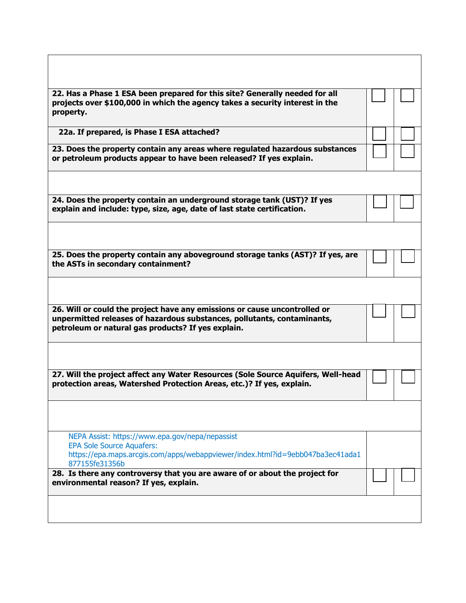| 22. Has a Phase 1 ESA been prepared for this site? Generally needed for all                                                   |  |
|-------------------------------------------------------------------------------------------------------------------------------|--|
| projects over \$100,000 in which the agency takes a security interest in the                                                  |  |
| property.                                                                                                                     |  |
| 22a. If prepared, is Phase I ESA attached?                                                                                    |  |
|                                                                                                                               |  |
| 23. Does the property contain any areas where regulated hazardous substances                                                  |  |
| or petroleum products appear to have been released? If yes explain.                                                           |  |
|                                                                                                                               |  |
|                                                                                                                               |  |
| 24. Does the property contain an underground storage tank (UST)? If yes                                                       |  |
| explain and include: type, size, age, date of last state certification.                                                       |  |
|                                                                                                                               |  |
|                                                                                                                               |  |
|                                                                                                                               |  |
| 25. Does the property contain any aboveground storage tanks (AST)? If yes, are                                                |  |
| the ASTs in secondary containment?                                                                                            |  |
|                                                                                                                               |  |
|                                                                                                                               |  |
|                                                                                                                               |  |
| 26. Will or could the project have any emissions or cause uncontrolled or                                                     |  |
| unpermitted releases of hazardous substances, pollutants, contaminants,<br>petroleum or natural gas products? If yes explain. |  |
|                                                                                                                               |  |
|                                                                                                                               |  |
|                                                                                                                               |  |
| 27. Will the project affect any Water Resources (Sole Source Aquifers, Well-head                                              |  |
| protection areas, Watershed Protection Areas, etc.)? If yes, explain.                                                         |  |
|                                                                                                                               |  |
|                                                                                                                               |  |
|                                                                                                                               |  |
|                                                                                                                               |  |
| NEPA Assist: https://www.epa.gov/nepa/nepassist<br><b>EPA Sole Source Aquafers:</b>                                           |  |
| https://epa.maps.arcgis.com/apps/webappviewer/index.html?id=9ebb047ba3ec41ada1                                                |  |
| 877155fe31356b                                                                                                                |  |
| 28. Is there any controversy that you are aware of or about the project for                                                   |  |
| environmental reason? If yes, explain.                                                                                        |  |
|                                                                                                                               |  |
|                                                                                                                               |  |
|                                                                                                                               |  |

٦